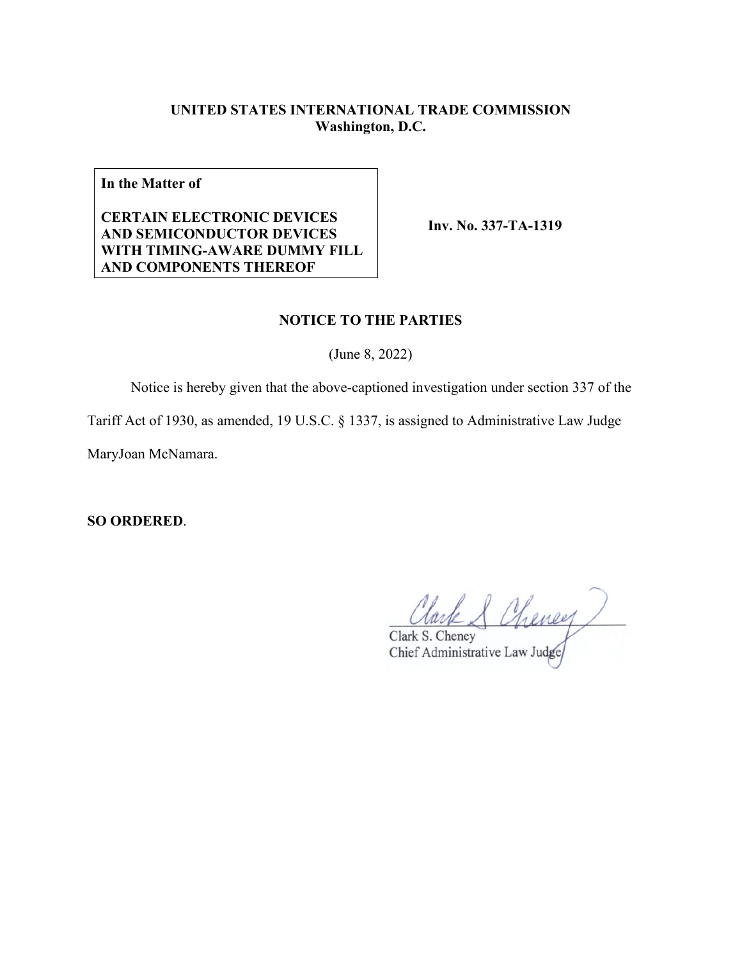# **UNITED STATES INTERNATIONAL TRADE COMMISSION Washington, D.C.**

**In the Matter of**

## **CERTAIN ELECTRONIC DEVICES AND SEMICONDUCTOR DEVICES WITH TIMING-AWARE DUMMY FILL AND COMPONENTS THEREOF**

**Inv. No. 337-TA-1319**

### **NOTICE TO THE PARTIES**

(June 8, 2022)

Notice is hereby given that the above-captioned investigation under section 337 of the

Tariff Act of 1930, as amended, 19 U.S.C. § 1337, is assigned to Administrative Law Judge

MaryJoan McNamara.

**SO ORDERED**.

Clark & Cheney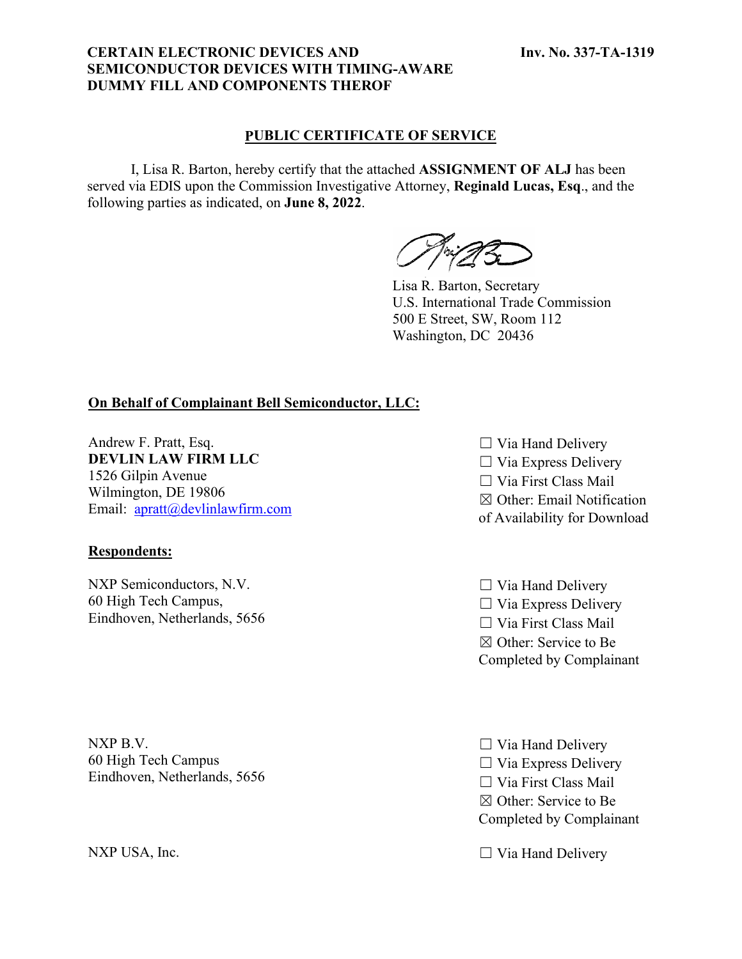### **CERTAIN ELECTRONIC DEVICES AND SEMICONDUCTOR DEVICES WITH TIMING-AWARE DUMMY FILL AND COMPONENTS THEROF**

### **PUBLIC CERTIFICATE OF SERVICE**

I, Lisa R. Barton, hereby certify that the attached **ASSIGNMENT OF ALJ** has been served via EDIS upon the Commission Investigative Attorney, **Reginald Lucas, Esq**., and the following parties as indicated, on **June 8, 2022**.

Lisa R. Barton, Secretary U.S. International Trade Commission 500 E Street, SW, Room 112 Washington, DC 20436

## **On Behalf of Complainant Bell Semiconductor, LLC:**

Andrew F. Pratt, Esq. **DEVLIN LAW FIRM LLC** 1526 Gilpin Avenue Wilmington, DE 19806 Email: [apratt@devlinlawfirm.com](mailto:apratt@devlinlawfirm.com)

### **Respondents:**

NXP Semiconductors, N.V. 60 High Tech Campus, Eindhoven, Netherlands, 5656

NXP B.V. 60 High Tech Campus Eindhoven, Netherlands, 5656

- $\Box$  Via Hand Delivery  $\Box$  Via Express Delivery ☐ Via First Class Mail ☒ Other: Email Notification of Availability for Download
- $\Box$  Via Hand Delivery  $\Box$  Via Express Delivery ☐ Via First Class Mail ☒ Other: Service to Be Completed by Complainant
- $\Box$  Via Hand Delivery  $\Box$  Via Express Delivery ☐ Via First Class Mail ☒ Other: Service to Be Completed by Complainant
- NXP USA, Inc.  $\Box$  Via Hand Delivery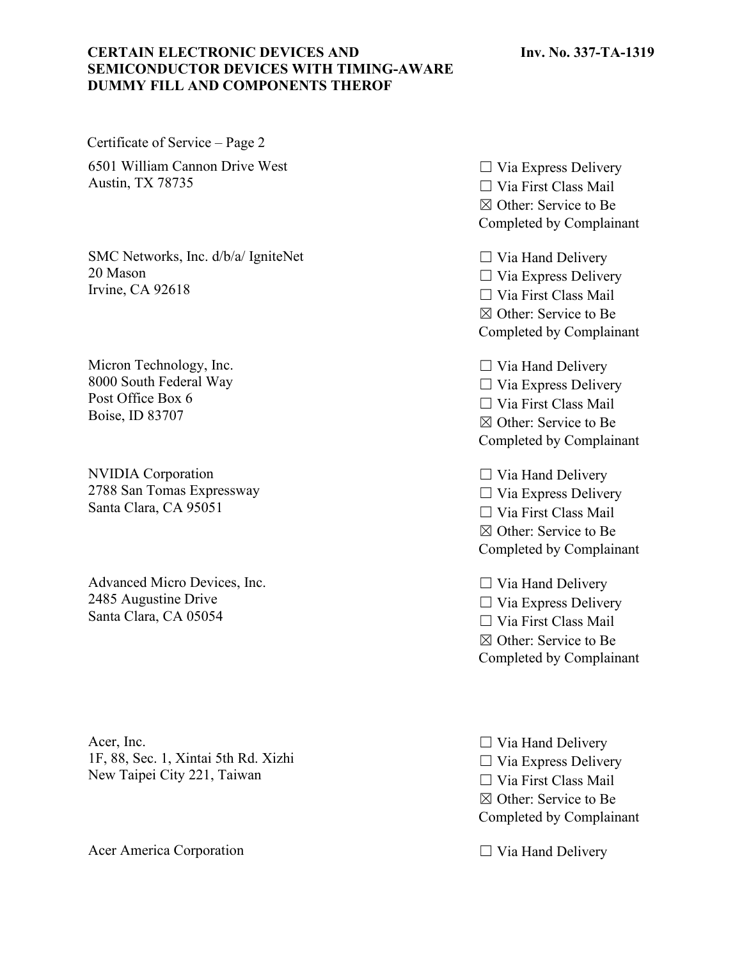#### **Inv. No. 337-TA-1319**

## **CERTAIN ELECTRONIC DEVICES AND SEMICONDUCTOR DEVICES WITH TIMING-AWARE DUMMY FILL AND COMPONENTS THEROF**

Certificate of Service – Page 2 6501 William Cannon Drive West Austin, TX 78735

SMC Networks, Inc. d/b/a/ IgniteNet 20 Mason Irvine, CA 92618

Micron Technology, Inc. 8000 South Federal Way Post Office Box 6 Boise, ID 83707

NVIDIA Corporation 2788 San Tomas Expressway Santa Clara, CA 95051

Advanced Micro Devices, Inc. 2485 Augustine Drive Santa Clara, CA 05054

Acer, Inc. 1F, 88, Sec. 1, Xintai 5th Rd. Xizhi New Taipei City 221, Taiwan

Acer America Corporation ◯ Via Hand Delivery

 $\Box$  Via Express Delivery  $\Box$  Via First Class Mail ☒ Other: Service to Be Completed by Complainant

 $\Box$  Via Hand Delivery  $\Box$  Via Express Delivery ☐ Via First Class Mail ☒ Other: Service to Be Completed by Complainant

 $\Box$  Via Hand Delivery  $\Box$  Via Express Delivery ☐ Via First Class Mail ☒ Other: Service to Be Completed by Complainant

 $\Box$  Via Hand Delivery  $\Box$  Via Express Delivery ☐ Via First Class Mail ☒ Other: Service to Be Completed by Complainant

 $\Box$  Via Hand Delivery  $\Box$  Via Express Delivery ☐ Via First Class Mail ☒ Other: Service to Be Completed by Complainant

 $\Box$  Via Hand Delivery  $\Box$  Via Express Delivery ☐ Via First Class Mail ☒ Other: Service to Be Completed by Complainant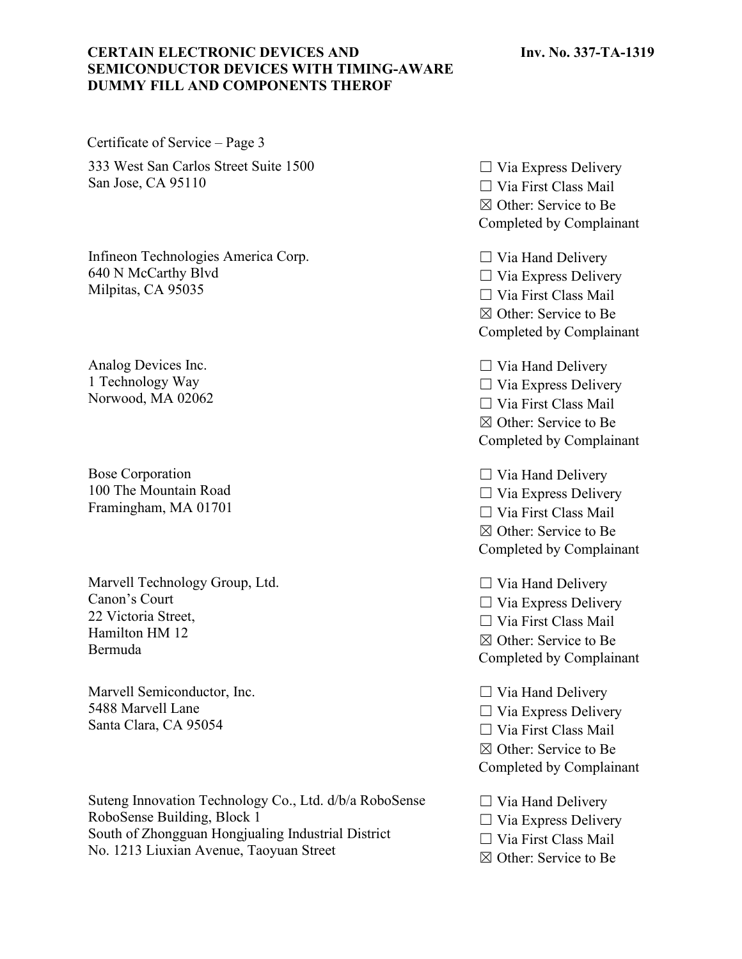#### **Inv. No. 337-TA-1319**

## **CERTAIN ELECTRONIC DEVICES AND SEMICONDUCTOR DEVICES WITH TIMING-AWARE DUMMY FILL AND COMPONENTS THEROF**

Certificate of Service – Page 3 333 West San Carlos Street Suite 1500 San Jose, CA 95110

Infineon Technologies America Corp. 640 N McCarthy Blvd Milpitas, CA 95035

Analog Devices Inc. 1 Technology Way Norwood, MA 02062

Bose Corporation 100 The Mountain Road Framingham, MA 01701

Marvell Technology Group, Ltd. Canon's Court 22 Victoria Street, Hamilton HM 12 Bermuda

Marvell Semiconductor, Inc. 5488 Marvell Lane Santa Clara, CA 95054

Suteng Innovation Technology Co., Ltd. d/b/a RoboSense RoboSense Building, Block 1 South of Zhongguan Hongjualing Industrial District No. 1213 Liuxian Avenue, Taoyuan Street

 $\Box$  Via Express Delivery  $\Box$  Via First Class Mail ☒ Other: Service to Be Completed by Complainant

 $\Box$  Via Hand Delivery  $\Box$  Via Express Delivery ☐ Via First Class Mail ☒ Other: Service to Be Completed by Complainant

 $\Box$  Via Hand Delivery  $\Box$  Via Express Delivery ☐ Via First Class Mail ☒ Other: Service to Be Completed by Complainant

 $\Box$  Via Hand Delivery  $\Box$  Via Express Delivery ☐ Via First Class Mail ☒ Other: Service to Be Completed by Complainant

 $\Box$  Via Hand Delivery  $\Box$  Via Express Delivery ☐ Via First Class Mail ☒ Other: Service to Be Completed by Complainant

 $\Box$  Via Hand Delivery  $\Box$  Via Express Delivery ☐ Via First Class Mail ☒ Other: Service to Be Completed by Complainant

 $\Box$  Via Hand Delivery

- $\Box$  Via Express Delivery
- ☐ Via First Class Mail
- ☒ Other: Service to Be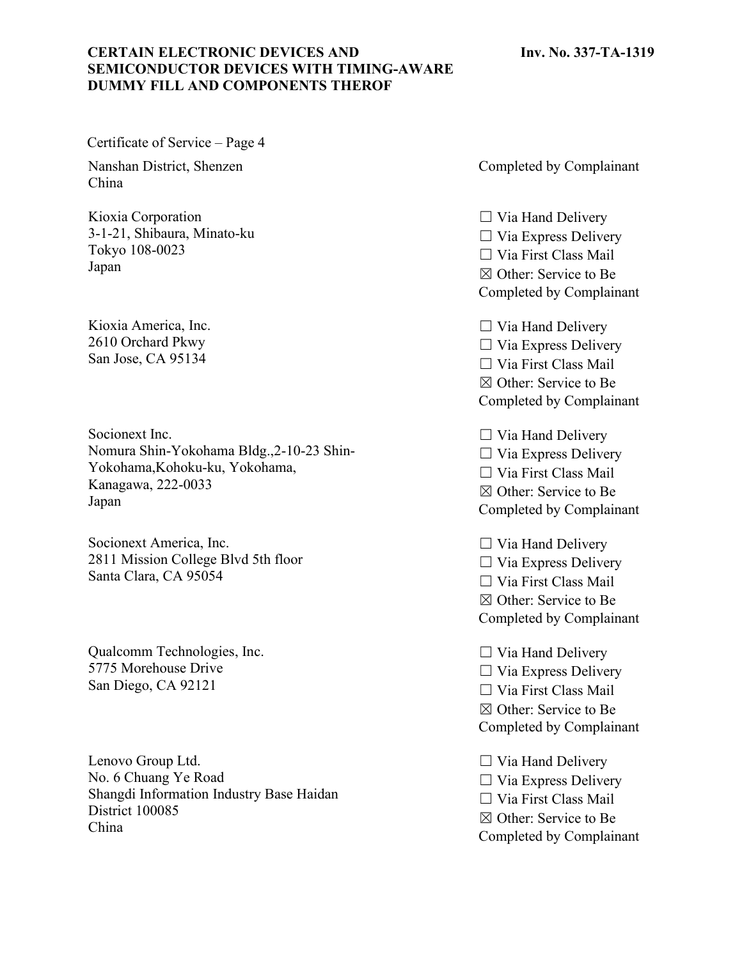#### **Inv. No. 337-TA-1319**

## **CERTAIN ELECTRONIC DEVICES AND SEMICONDUCTOR DEVICES WITH TIMING-AWARE DUMMY FILL AND COMPONENTS THEROF**

Certificate of Service – Page 4

Nanshan District, Shenzen China

Kioxia Corporation 3-1-21, Shibaura, Minato-ku Tokyo 108-0023 Japan

Kioxia America, Inc. 2610 Orchard Pkwy San Jose, CA 95134

Socionext Inc. Nomura Shin-Yokohama Bldg.,2-10-23 Shin-Yokohama,Kohoku-ku, Yokohama, Kanagawa, 222-0033 Japan

Socionext America, Inc. 2811 Mission College Blvd 5th floor Santa Clara, CA 95054

Qualcomm Technologies, Inc. 5775 Morehouse Drive San Diego, CA 92121

Lenovo Group Ltd. No. 6 Chuang Ye Road Shangdi Information Industry Base Haidan District 100085 China

Completed by Complainant

 $\Box$  Via Hand Delivery  $\Box$  Via Express Delivery ☐ Via First Class Mail ☒ Other: Service to Be Completed by Complainant

 $\Box$  Via Hand Delivery  $\Box$  Via Express Delivery ☐ Via First Class Mail ☒ Other: Service to Be Completed by Complainant

 $\Box$  Via Hand Delivery  $\Box$  Via Express Delivery ☐ Via First Class Mail ☒ Other: Service to Be Completed by Complainant

☐ Via Hand Delivery  $\Box$  Via Express Delivery ☐ Via First Class Mail ☒ Other: Service to Be Completed by Complainant

 $\Box$  Via Hand Delivery  $\Box$  Via Express Delivery  $\Box$  Via First Class Mail ☒ Other: Service to Be Completed by Complainant

 $\Box$  Via Hand Delivery  $\Box$  Via Express Delivery ☐ Via First Class Mail ☒ Other: Service to Be Completed by Complainant